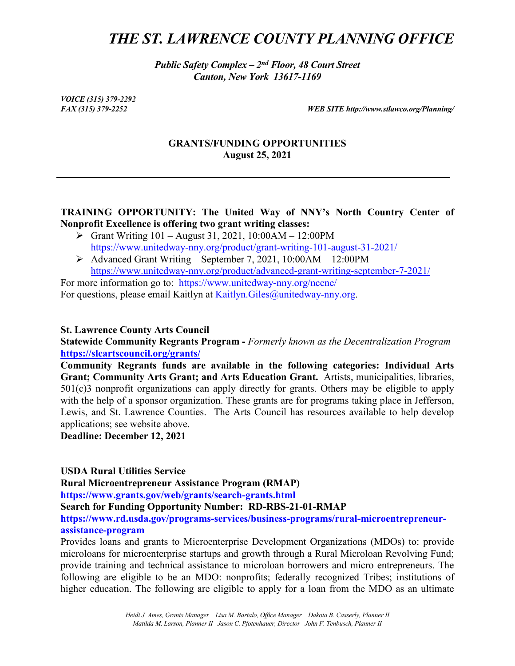# *THE ST. LAWRENCE COUNTY PLANNING OFFICE*

*Public Safety Complex – 2nd Floor, 48 Court Street Canton, New York 13617-1169*

*VOICE (315) 379-2292*

*FAX (315) 379-2252 WEB SITE http://www.stlawco.org/Planning/*

#### **GRANTS/FUNDING OPPORTUNITIES August 25, 2021**

### **TRAINING OPPORTUNITY: The United Way of NNY's North Country Center of Nonprofit Excellence is offering two grant writing classes:**

- [Grant Writing 101](https://protect-us.mimecast.com/s/ulj5C5yEKZUkGrvC2SA7e?domain=unitedway-nny.org/) August 31, 2021, 10:00AM 12:00PM [https://www.unitedway-nny.org/product/grant-writing-101-august-31-2021/](https://protect-us.mimecast.com/s/2GPwCDk7Wjf7qZgsWIK3Z?domain=unitedway-nny.org/)
- [Advanced Grant Writing](https://protect-us.mimecast.com/s/6yYKC687K1hLK4DUxq3oZ?domain=unitedway-nny.org/) September 7, 2021, 10:00AM 12:00PM [https://www.unitedway-nny.org/product/advanced-grant-writing-september-7-2021/](https://protect-us.mimecast.com/s/wd6uCER7WkIwLjRIw9TPb?domain=unitedway-nny.org/)

For more information go to: https://www.unitedway-nny.org/nccne/ For questions, please email Kaitlyn at [Kaitlyn.Giles@unitedway-nny.org.](mailto:Kaitlyn.Giles@unitedway-nny.org)

#### **St. Lawrence County Arts Council**

**Statewide Community Regrants Program -** *Formerly known as the Decentralization Program* **<https://slcartscouncil.org/grants/>**

**Community Regrants funds are available in the following categories: Individual Arts Grant; Community Arts Grant; and Arts Education Grant.** Artists, municipalities, libraries, 501(c)3 nonprofit organizations can apply directly for grants. Others may be eligible to apply with the help of a sponsor organization. These grants are for programs taking place in Jefferson, Lewis, and St. Lawrence Counties. The Arts Council has resources available to help develop applications; see website above.

**Deadline: December 12, 2021**

#### **USDA Rural Utilities Service**

**Rural Microentrepreneur Assistance Program (RMAP)**

**https://www.grants.gov/web/grants/search-grants.html**

**Search for Funding Opportunity Number: RD-RBS-21-01-RMAP**

**https://www.rd.usda.gov/programs-services/business-programs/rural-microentrepreneurassistance-program**

Provides loans and grants to Microenterprise Development Organizations (MDOs) to: provide microloans for microenterprise startups and growth through a Rural Microloan Revolving Fund; provide training and technical assistance to microloan borrowers and micro entrepreneurs. The following are eligible to be an MDO: nonprofits; federally recognized Tribes; institutions of higher education. The following are eligible to apply for a loan from the MDO as an ultimate